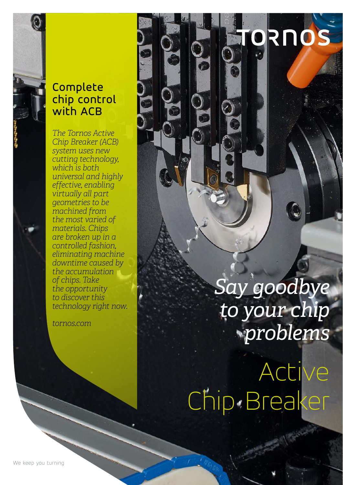## Complete chip control with ACB

*The Tornos Active Chip Breaker (ACB) system uses new cutting technology, which is both universal and highly effective, enabling virtually all part geometries to be machined from the most varied of materials. Chips are broken up in a controlled fashion, eliminating machine downtime caused by the accumulation of chips. Take the opportunity to discover this technology right now.*

*tornos.com*

*Say goodbye to your chip problems*

RNOS

Active Chip Breaker

We keep you turning